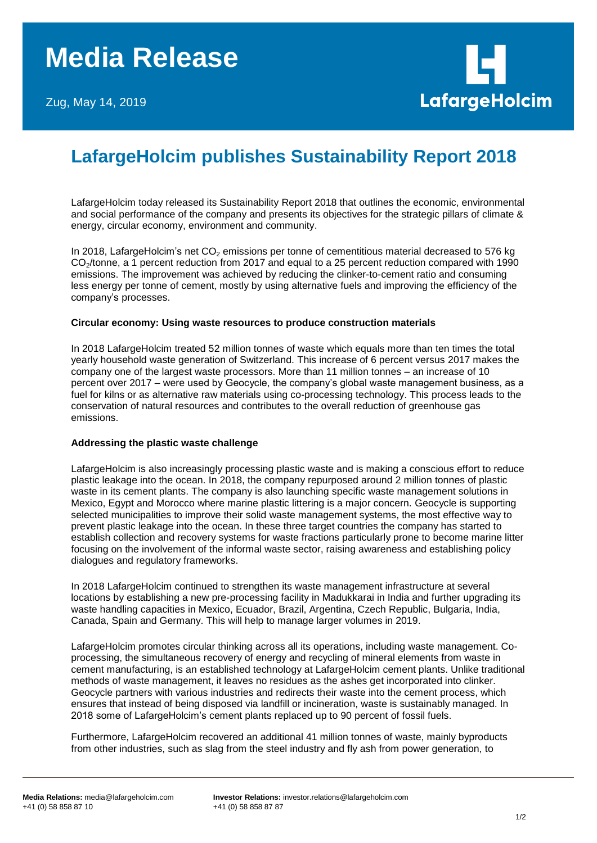

# **LafargeHolcim publishes Sustainability Report 2018**

LafargeHolcim today released its Sustainability Report 2018 that outlines the economic, environmental and social performance of the company and presents its objectives for the strategic pillars of climate & energy, circular economy, environment and community.

In 2018, LafargeHolcim's net  $CO<sub>2</sub>$  emissions per tonne of cementitious material decreased to 576 kg CO<sub>2</sub>/tonne, a 1 percent reduction from 2017 and equal to a 25 percent reduction compared with 1990 emissions. The improvement was achieved by reducing the clinker-to-cement ratio and consuming less energy per tonne of cement, mostly by using alternative fuels and improving the efficiency of the company's processes.

### **Circular economy: Using waste resources to produce construction materials**

In 2018 LafargeHolcim treated 52 million tonnes of waste which equals more than ten times the total yearly household waste generation of Switzerland. This increase of 6 percent versus 2017 makes the company one of the largest waste processors. More than 11 million tonnes – an increase of 10 percent over 2017 – were used by Geocycle, the company's global waste management business, as a fuel for kilns or as alternative raw materials using co-processing technology. This process leads to the conservation of natural resources and contributes to the overall reduction of greenhouse gas emissions.

## **Addressing the plastic waste challenge**

LafargeHolcim is also increasingly processing plastic waste and is making a conscious effort to reduce plastic leakage into the ocean. In 2018, the company repurposed around 2 million tonnes of plastic waste in its cement plants. The company is also launching specific waste management solutions in Mexico, Egypt and Morocco where marine plastic littering is a major concern. Geocycle is supporting selected municipalities to improve their solid waste management systems, the most effective way to prevent plastic leakage into the ocean. In these three target countries the company has started to establish collection and recovery systems for waste fractions particularly prone to become marine litter focusing on the involvement of the informal waste sector, raising awareness and establishing policy dialogues and regulatory frameworks.

In 2018 LafargeHolcim continued to strengthen its waste management infrastructure at several locations by establishing a new pre-processing facility in Madukkarai in India and further upgrading its waste handling capacities in Mexico, Ecuador, Brazil, Argentina, Czech Republic, Bulgaria, India, Canada, Spain and Germany. This will help to manage larger volumes in 2019.

LafargeHolcim promotes circular thinking across all its operations, including waste management. Coprocessing, the simultaneous recovery of energy and recycling of mineral elements from waste in cement manufacturing, is an established technology at LafargeHolcim cement plants. Unlike traditional methods of waste management, it leaves no residues as the ashes get incorporated into clinker. Geocycle partners with various industries and redirects their waste into the cement process, which ensures that instead of being disposed via landfill or incineration, waste is sustainably managed. In 2018 some of LafargeHolcim's cement plants replaced up to 90 percent of fossil fuels.

Furthermore, LafargeHolcim recovered an additional 41 million tonnes of waste, mainly byproducts from other industries, such as slag from the steel industry and fly ash from power generation, to